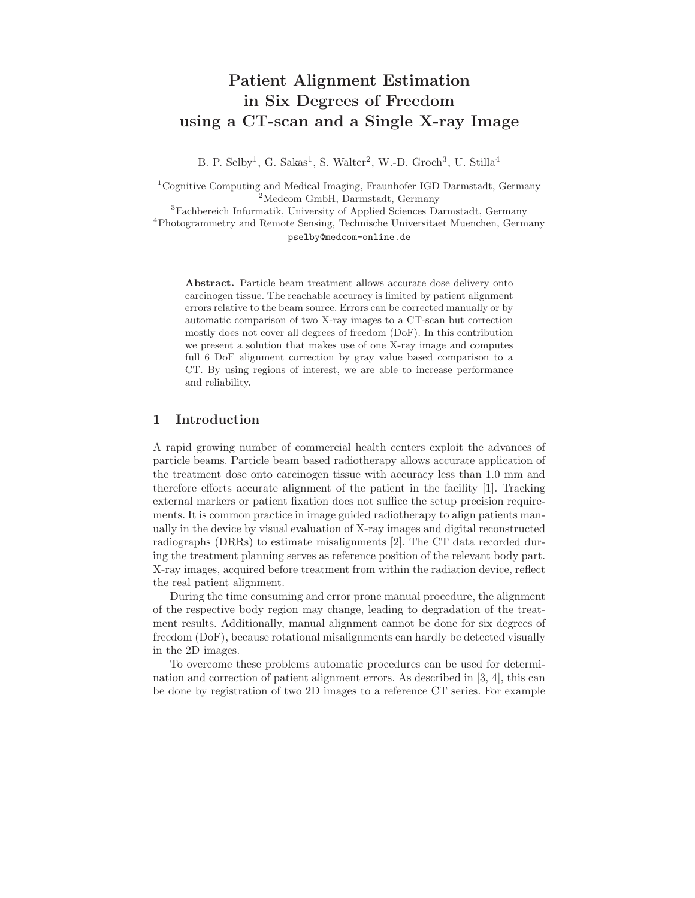# Patient Alignment Estimation in Six Degrees of Freedom using a CT-scan and a Single X-ray Image

B. P. Selby<sup>1</sup>, G. Sakas<sup>1</sup>, S. Walter<sup>2</sup>, W.-D. Groch<sup>3</sup>, U. Stilla<sup>4</sup>

 $^{1}$ Cognitive Computing and Medical Imaging, Fraunhofer IGD Darmstadt, Germany <sup>2</sup>Medcom GmbH, Darmstadt, Germany <sup>3</sup>Fachbereich Informatik, University of Applied Sciences Darmstadt, Germany <sup>4</sup>Photogrammetry and Remote Sensing, Technische Universitaet Muenchen, Germany

pselby@medcom-online.de

Abstract. Particle beam treatment allows accurate dose delivery onto carcinogen tissue. The reachable accuracy is limited by patient alignment errors relative to the beam source. Errors can be corrected manually or by automatic comparison of two X-ray images to a CT-scan but correction mostly does not cover all degrees of freedom (DoF). In this contribution we present a solution that makes use of one X-ray image and computes full 6 DoF alignment correction by gray value based comparison to a CT. By using regions of interest, we are able to increase performance and reliability.

## 1 Introduction

A rapid growing number of commercial health centers exploit the advances of particle beams. Particle beam based radiotherapy allows accurate application of the treatment dose onto carcinogen tissue with accuracy less than 1.0 mm and therefore efforts accurate alignment of the patient in the facility [1]. Tracking external markers or patient fixation does not suffice the setup precision requirements. It is common practice in image guided radiotherapy to align patients manually in the device by visual evaluation of X-ray images and digital reconstructed radiographs (DRRs) to estimate misalignments [2]. The CT data recorded during the treatment planning serves as reference position of the relevant body part. X-ray images, acquired before treatment from within the radiation device, reflect the real patient alignment.

During the time consuming and error prone manual procedure, the alignment of the respective body region may change, leading to degradation of the treatment results. Additionally, manual alignment cannot be done for six degrees of freedom (DoF), because rotational misalignments can hardly be detected visually in the 2D images.

To overcome these problems automatic procedures can be used for determination and correction of patient alignment errors. As described in [3, 4], this can be done by registration of two 2D images to a reference CT series. For example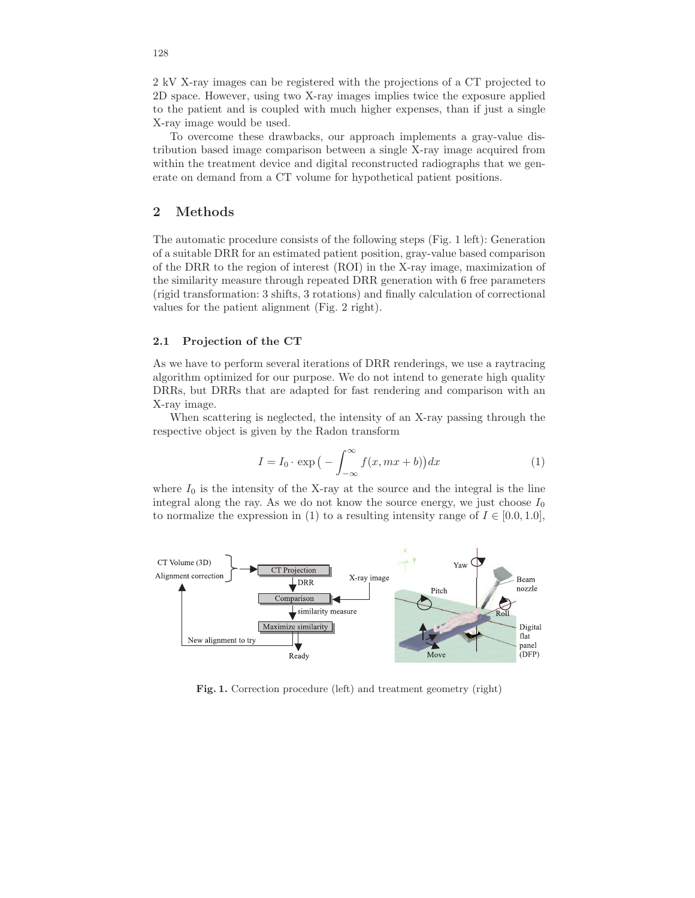2 kV X-ray images can be registered with the projections of a CT projected to 2D space. However, using two X-ray images implies twice the exposure applied to the patient and is coupled with much higher expenses, than if just a single X-ray image would be used.

To overcome these drawbacks, our approach implements a gray-value distribution based image comparison between a single X-ray image acquired from within the treatment device and digital reconstructed radiographs that we generate on demand from a CT volume for hypothetical patient positions.

## 2 Methods

The automatic procedure consists of the following steps (Fig. 1 left): Generation of a suitable DRR for an estimated patient position, gray-value based comparison of the DRR to the region of interest (ROI) in the X-ray image, maximization of the similarity measure through repeated DRR generation with 6 free parameters (rigid transformation: 3 shifts, 3 rotations) and finally calculation of correctional values for the patient alignment (Fig. 2 right).

#### 2.1 Projection of the CT

As we have to perform several iterations of DRR renderings, we use a raytracing algorithm optimized for our purpose. We do not intend to generate high quality DRRs, but DRRs that are adapted for fast rendering and comparison with an X-ray image.

When scattering is neglected, the intensity of an X-ray passing through the respective object is given by the Radon transform

$$
I = I_0 \cdot \exp\left(-\int_{-\infty}^{\infty} f(x, mx + b)\right) dx \tag{1}
$$

where  $I_0$  is the intensity of the X-ray at the source and the integral is the line integral along the ray. As we do not know the source energy, we just choose  $I_0$ to normalize the expression in (1) to a resulting intensity range of  $I \in [0.0, 1.0]$ ,



Fig. 1. Correction procedure (left) and treatment geometry (right)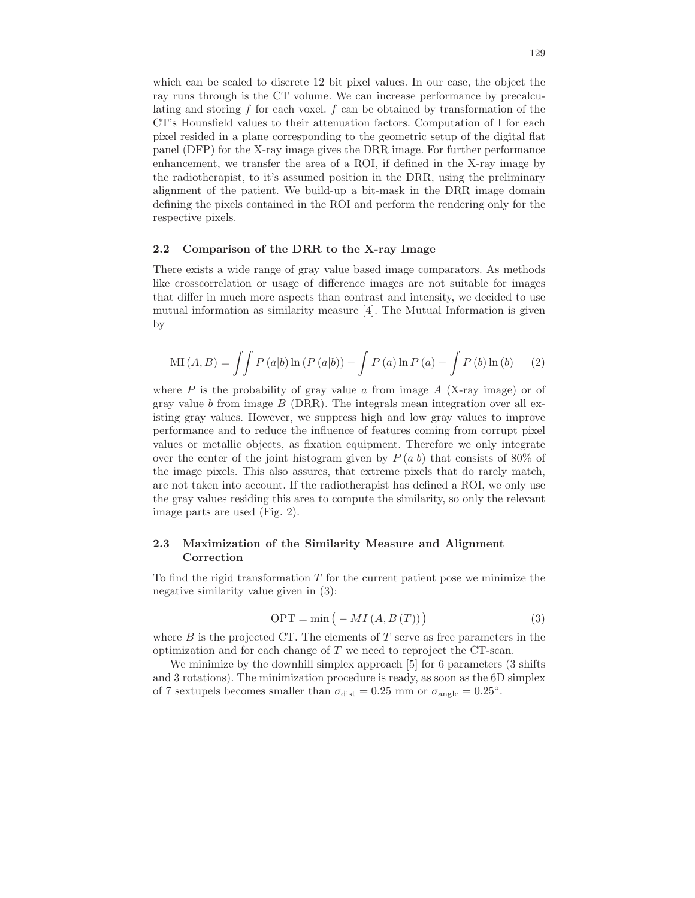which can be scaled to discrete 12 bit pixel values. In our case, the object the ray runs through is the CT volume. We can increase performance by precalculating and storing  $f$  for each voxel.  $f$  can be obtained by transformation of the CT's Hounsfield values to their attenuation factors. Computation of I for each pixel resided in a plane corresponding to the geometric setup of the digital flat panel (DFP) for the X-ray image gives the DRR image. For further performance enhancement, we transfer the area of a ROI, if defined in the X-ray image by the radiotherapist, to it's assumed position in the DRR, using the preliminary alignment of the patient. We build-up a bit-mask in the DRR image domain defining the pixels contained in the ROI and perform the rendering only for the respective pixels.

#### 2.2 Comparison of the DRR to the X-ray Image

There exists a wide range of gray value based image comparators. As methods like crosscorrelation or usage of difference images are not suitable for images that differ in much more aspects than contrast and intensity, we decided to use mutual information as similarity measure [4]. The Mutual Information is given by

$$
MI(A, B) = \iint P(a|b) \ln (P(a|b)) - \int P(a) \ln P(a) - \int P(b) \ln (b) \tag{2}
$$

where  $P$  is the probability of gray value  $\alpha$  from image  $A$  (X-ray image) or of gray value b from image  $B$  (DRR). The integrals mean integration over all existing gray values. However, we suppress high and low gray values to improve performance and to reduce the influence of features coming from corrupt pixel values or metallic objects, as fixation equipment. Therefore we only integrate over the center of the joint histogram given by  $P(a|b)$  that consists of 80% of the image pixels. This also assures, that extreme pixels that do rarely match, are not taken into account. If the radiotherapist has defined a ROI, we only use the gray values residing this area to compute the similarity, so only the relevant image parts are used (Fig. 2).

### 2.3 Maximization of the Similarity Measure and Alignment Correction

To find the rigid transformation  $T$  for the current patient pose we minimize the negative similarity value given in (3):

$$
OPT = \min\left(-MI(A, B(T))\right)
$$
\n(3)

where  $B$  is the projected CT. The elements of  $T$  serve as free parameters in the optimization and for each change of T we need to reproject the CT-scan.

We minimize by the downhill simplex approach [5] for 6 parameters (3 shifts and 3 rotations). The minimization procedure is ready, as soon as the 6D simplex of 7 sextupels becomes smaller than  $\sigma_{\text{dist}} = 0.25$  mm or  $\sigma_{\text{angle}} = 0.25$ °.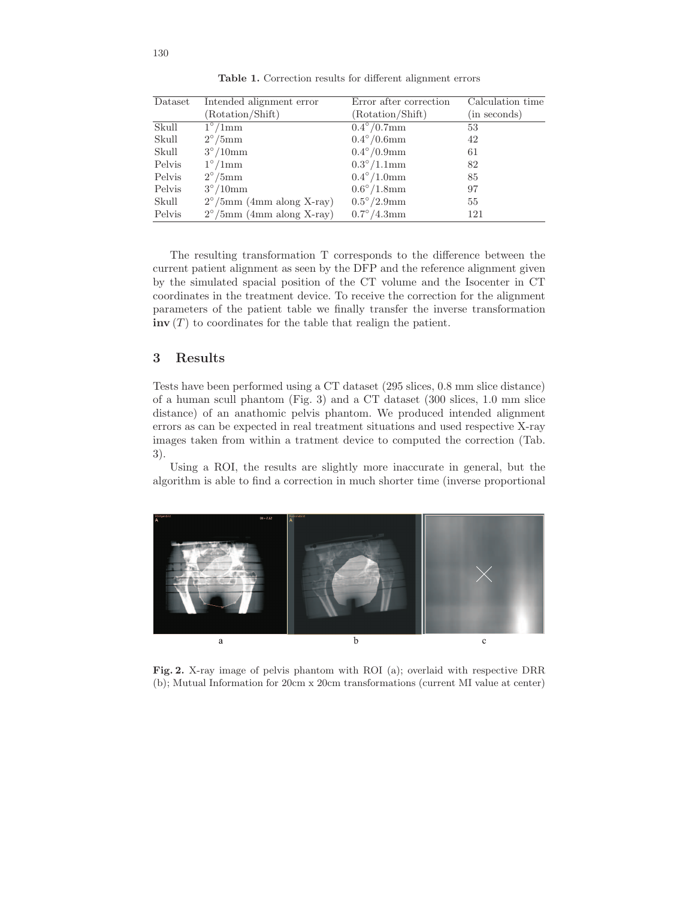| Dataset | Intended alignment error           | Error after correction | Calculation time |
|---------|------------------------------------|------------------------|------------------|
|         | (Rotation/Shift)                   | (Rotation/Shift)       | (in seconds)     |
| Skull   | $1^{\circ}/1$ mm                   | $0.4^{\circ}/0.7$ mm   | 53               |
| Skull   | $2^{\circ}/5$ mm                   | $0.4^{\circ}/0.6$ mm   | 42               |
| Skull   | $3^{\circ}/10$ mm                  | $0.4^{\circ}/0.9$ mm   | 61               |
| Pelvis  | $1^{\circ}/1$ mm                   | $0.3^{\circ}/1.1$ mm   | 82               |
| Pelvis  | $2^{\circ}/5$ mm                   | $0.4^{\circ}/1.0$ mm   | 85               |
| Pelvis  | $3^{\circ}/10$ mm                  | $0.6^{\circ}/1.8$ mm   | 97               |
| Skull   | $2^{\circ}/5$ mm (4mm along X-ray) | $0.5^{\circ}/2.9$ mm   | 55               |
| Pelvis  | $2^{\circ}/5$ mm (4mm along X-ray) | $0.7^{\circ}/4.3$ mm   | 121              |

Table 1. Correction results for different alignment errors

The resulting transformation T corresponds to the difference between the current patient alignment as seen by the DFP and the reference alignment given by the simulated spacial position of the CT volume and the Isocenter in CT coordinates in the treatment device. To receive the correction for the alignment parameters of the patient table we finally transfer the inverse transformation  $\text{inv}(T)$  to coordinates for the table that realign the patient.

## 3 Results

Tests have been performed using a CT dataset (295 slices, 0.8 mm slice distance) of a human scull phantom (Fig. 3) and a CT dataset (300 slices, 1.0 mm slice distance) of an anathomic pelvis phantom. We produced intended alignment errors as can be expected in real treatment situations and used respective X-ray images taken from within a tratment device to computed the correction (Tab. 3).

Using a ROI, the results are slightly more inaccurate in general, but the algorithm is able to find a correction in much shorter time (inverse proportional



Fig. 2. X-ray image of pelvis phantom with ROI (a); overlaid with respective DRR (b); Mutual Information for 20cm x 20cm transformations (current MI value at center)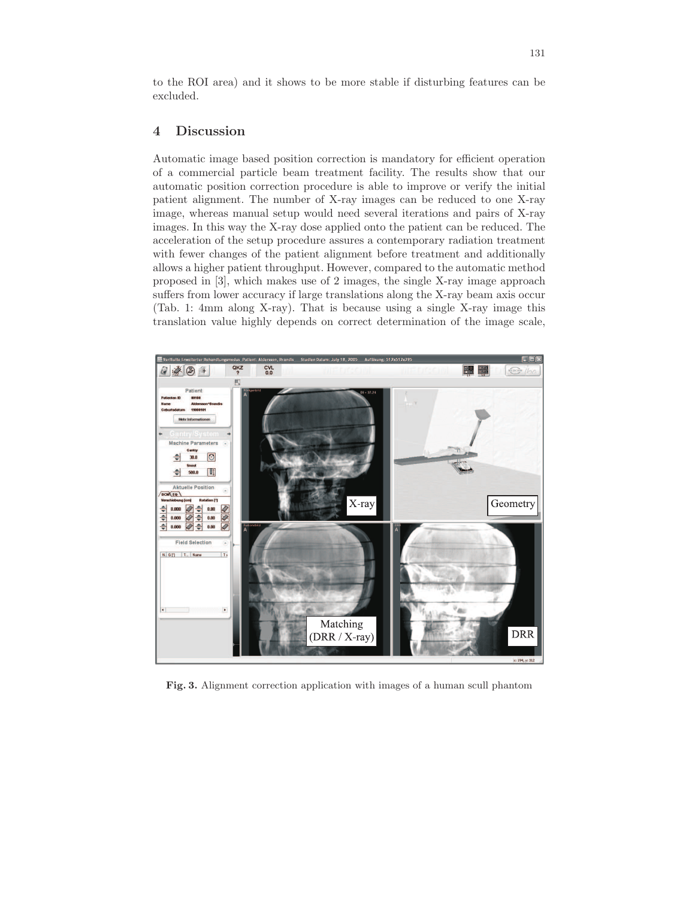to the ROI area) and it shows to be more stable if disturbing features can be excluded.

## 4 Discussion

Automatic image based position correction is mandatory for efficient operation of a commercial particle beam treatment facility. The results show that our automatic position correction procedure is able to improve or verify the initial patient alignment. The number of X-ray images can be reduced to one X-ray image, whereas manual setup would need several iterations and pairs of X-ray images. In this way the X-ray dose applied onto the patient can be reduced. The acceleration of the setup procedure assures a contemporary radiation treatment with fewer changes of the patient alignment before treatment and additionally allows a higher patient throughput. However, compared to the automatic method proposed in [3], which makes use of 2 images, the single X-ray image approach suffers from lower accuracy if large translations along the X-ray beam axis occur (Tab. 1: 4mm along X-ray). That is because using a single X-ray image this translation value highly depends on correct determination of the image scale,



Fig. 3. Alignment correction application with images of a human scull phantom